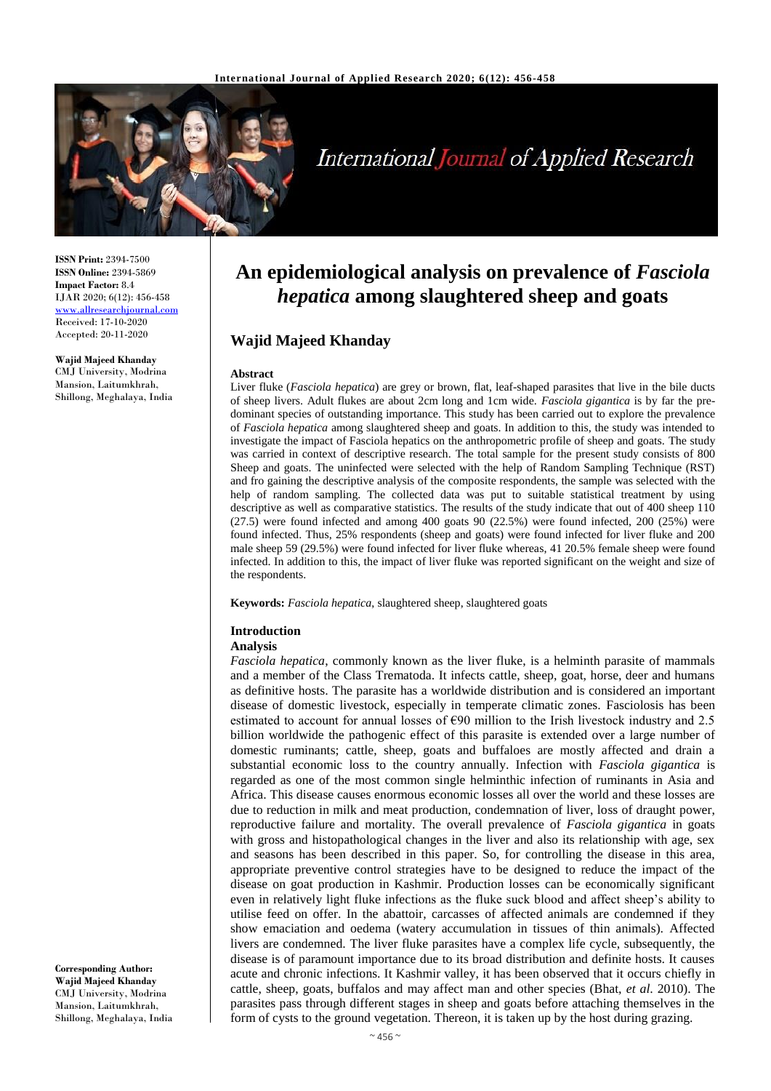

# **International Journal of Applied Research**

**ISSN Print:** 2394-7500 **ISSN Online:** 2394-5869 **Impact Factor:** 8.4 IJAR 2020; 6(12): 456-458 <www.allresearchjournal.com> Received: 17-10-2020 Accepted: 20-11-2020

**Wajid Majeed Khanday** CMJ University, Modrina Mansion, Laitumkhrah, Shillong, Meghalaya, India **An epidemiological analysis on prevalence of** *Fasciola hepatica* **among slaughtered sheep and goats**

## **Wajid Majeed Khanday**

#### **Abstract**

Liver fluke (*Fasciola hepatica*) are grey or brown, flat, leaf-shaped parasites that live in the bile ducts of sheep livers. Adult flukes are about 2cm long and 1cm wide. *Fasciola gigantica* is by far the predominant species of outstanding importance. This study has been carried out to explore the prevalence of *Fasciola hepatica* among slaughtered sheep and goats. In addition to this, the study was intended to investigate the impact of Fasciola hepatics on the anthropometric profile of sheep and goats. The study was carried in context of descriptive research. The total sample for the present study consists of 800 Sheep and goats. The uninfected were selected with the help of Random Sampling Technique (RST) and fro gaining the descriptive analysis of the composite respondents, the sample was selected with the help of random sampling. The collected data was put to suitable statistical treatment by using descriptive as well as comparative statistics. The results of the study indicate that out of 400 sheep 110 (27.5) were found infected and among 400 goats 90 (22.5%) were found infected, 200 (25%) were found infected. Thus, 25% respondents (sheep and goats) were found infected for liver fluke and 200 male sheep 59 (29.5%) were found infected for liver fluke whereas, 41 20.5% female sheep were found infected. In addition to this, the impact of liver fluke was reported significant on the weight and size of the respondents.

**Keywords:** *Fasciola hepatica*, slaughtered sheep, slaughtered goats

#### **Introduction**

#### **Analysis**

*Fasciola hepatica*, commonly known as the liver fluke, is a helminth parasite of mammals and a member of the Class Trematoda. It infects cattle, sheep, goat, horse, deer and humans as definitive hosts. The parasite has a worldwide distribution and is considered an important disease of domestic livestock, especially in temperate climatic zones. Fasciolosis has been estimated to account for annual losses of €90 million to the Irish livestock industry and 2.5 billion worldwide the pathogenic effect of this parasite is extended over a large number of domestic ruminants; cattle, sheep, goats and buffaloes are mostly affected and drain a substantial economic loss to the country annually. Infection with *Fasciola gigantica* is regarded as one of the most common single helminthic infection of ruminants in Asia and Africa. This disease causes enormous economic losses all over the world and these losses are due to reduction in milk and meat production, condemnation of liver, loss of draught power, reproductive failure and mortality. The overall prevalence of *Fasciola gigantica* in goats with gross and histopathological changes in the liver and also its relationship with age, sex and seasons has been described in this paper. So, for controlling the disease in this area, appropriate preventive control strategies have to be designed to reduce the impact of the disease on goat production in Kashmir. Production losses can be economically significant even in relatively light fluke infections as the fluke suck blood and affect sheep's ability to utilise feed on offer. In the abattoir, carcasses of affected animals are condemned if they show emaciation and oedema (watery accumulation in tissues of thin animals). Affected livers are condemned. The liver fluke parasites have a complex life cycle, subsequently, the disease is of paramount importance due to its broad distribution and definite hosts. It causes acute and chronic infections. It Kashmir valley, it has been observed that it occurs chiefly in cattle, sheep, goats, buffalos and may affect man and other species (Bhat, *et al*. 2010). The parasites pass through different stages in sheep and goats before attaching themselves in the form of cysts to the ground vegetation. Thereon, it is taken up by the host during grazing.

**Corresponding Author: Wajid Majeed Khanday** CMJ University, Modrina Mansion, Laitumkhrah, Shillong, Meghalaya, India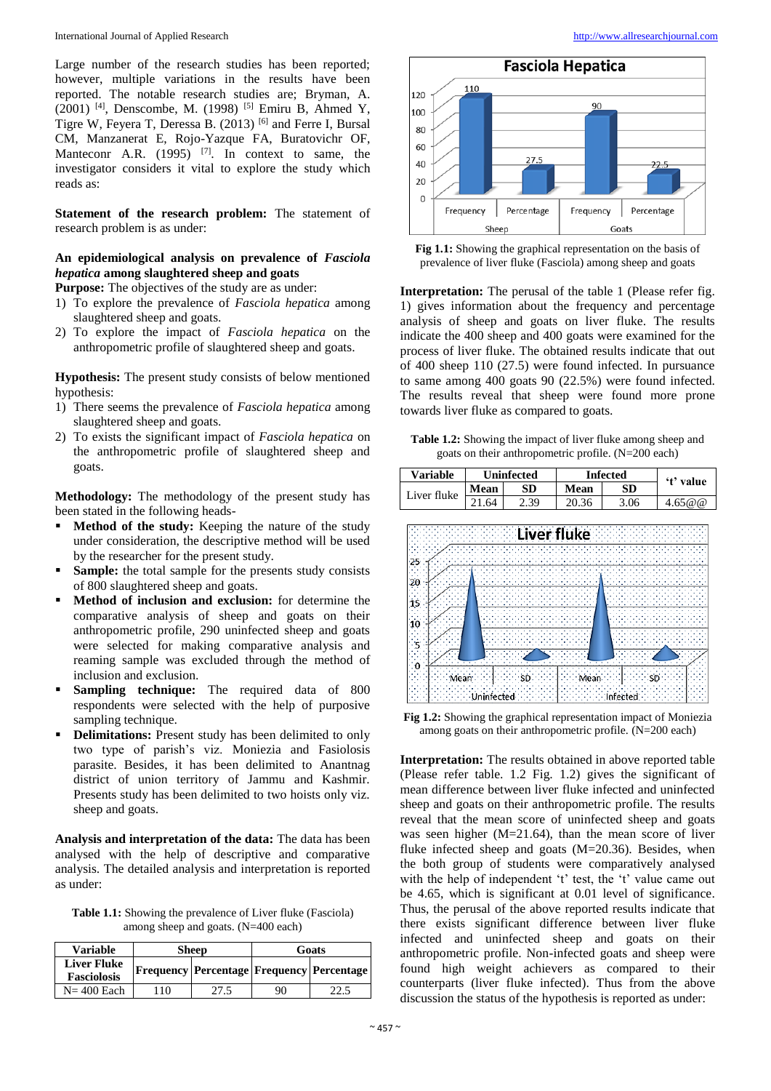Large number of the research studies has been reported; however, multiple variations in the results have been reported. The notable research studies are; Bryman, A. (2001) [4] , Denscombe, M. (1998) [5] Emiru B, Ahmed Y, Tigre W, Feyera T, Deressa B. (2013) [6] and Ferre I, Bursal CM, Manzanerat E, Rojo-Yazque FA, Buratovichr OF, Manteconr A.R.  $(1995)$  <sup>[7]</sup>. In context to same, the investigator considers it vital to explore the study which reads as:

**Statement of the research problem:** The statement of research problem is as under:

### **An epidemiological analysis on prevalence of** *Fasciola hepatica* **among slaughtered sheep and goats**

**Purpose:** The objectives of the study are as under:

- 1) To explore the prevalence of *Fasciola hepatica* among slaughtered sheep and goats.
- 2) To explore the impact of *Fasciola hepatica* on the anthropometric profile of slaughtered sheep and goats.

**Hypothesis:** The present study consists of below mentioned hypothesis:

- 1) There seems the prevalence of *Fasciola hepatica* among slaughtered sheep and goats.
- 2) To exists the significant impact of *Fasciola hepatica* on the anthropometric profile of slaughtered sheep and goats.

**Methodology:** The methodology of the present study has been stated in the following heads-

- **Method of the study:** Keeping the nature of the study under consideration, the descriptive method will be used by the researcher for the present study.
- **Sample:** the total sample for the presents study consists of 800 slaughtered sheep and goats.
- **Method of inclusion and exclusion:** for determine the comparative analysis of sheep and goats on their anthropometric profile, 290 uninfected sheep and goats were selected for making comparative analysis and reaming sample was excluded through the method of inclusion and exclusion.
- **Sampling technique:** The required data of 800 respondents were selected with the help of purposive sampling technique.
- **Delimitations:** Present study has been delimited to only two type of parish's viz. Moniezia and Fasiolosis parasite. Besides, it has been delimited to Anantnag district of union territory of Jammu and Kashmir. Presents study has been delimited to two hoists only viz. sheep and goats.

**Analysis and interpretation of the data:** The data has been analysed with the help of descriptive and comparative analysis. The detailed analysis and interpretation is reported as under:

**Table 1.1:** Showing the prevalence of Liver fluke (Fasciola) among sheep and goats. (N=400 each)

| <b>Variable</b>                          |     | <b>Sheep</b> | Goats |                                                 |
|------------------------------------------|-----|--------------|-------|-------------------------------------------------|
| <b>Liver Fluke</b><br><b>Fasciolosis</b> |     |              |       | Frequency   Percentage   Frequency   Percentage |
| $N = 400$ Each                           | 110 | 27.5         | 90    |                                                 |



**Fig 1.1:** Showing the graphical representation on the basis of prevalence of liver fluke (Fasciola) among sheep and goats

**Interpretation:** The perusal of the table 1 (Please refer fig. 1) gives information about the frequency and percentage analysis of sheep and goats on liver fluke. The results indicate the 400 sheep and 400 goats were examined for the process of liver fluke. The obtained results indicate that out of 400 sheep 110 (27.5) were found infected. In pursuance to same among 400 goats 90 (22.5%) were found infected. The results reveal that sheep were found more prone towards liver fluke as compared to goats.

**Table 1.2:** Showing the impact of liver fluke among sheep and goats on their anthropometric profile. (N=200 each)

| <b>Variable</b> | <b>Uninfected</b> |      | <b>Infected</b> |      | 't' value |
|-----------------|-------------------|------|-----------------|------|-----------|
| Liver fluke     | Mean              | SD   | Mean            | SD.  |           |
|                 | 21.64             | 2.39 | 20.36           | 3.06 | 4.65@@    |



**Fig 1.2:** Showing the graphical representation impact of Moniezia among goats on their anthropometric profile. (N=200 each)

**Interpretation:** The results obtained in above reported table (Please refer table. 1.2 Fig. 1.2) gives the significant of mean difference between liver fluke infected and uninfected sheep and goats on their anthropometric profile. The results reveal that the mean score of uninfected sheep and goats was seen higher (M=21.64), than the mean score of liver fluke infected sheep and goats (M=20.36). Besides, when the both group of students were comparatively analysed with the help of independent 't' test, the 't' value came out be 4.65, which is significant at 0.01 level of significance. Thus, the perusal of the above reported results indicate that there exists significant difference between liver fluke infected and uninfected sheep and goats on their anthropometric profile. Non-infected goats and sheep were found high weight achievers as compared to their counterparts (liver fluke infected). Thus from the above discussion the status of the hypothesis is reported as under: